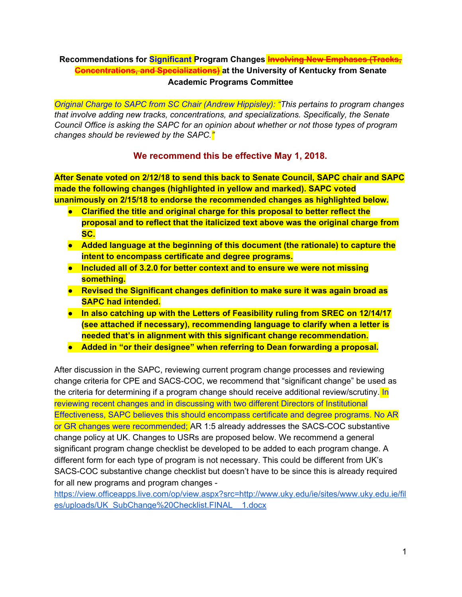## **Recommendations for Significant Program Changes Involving New Emphases (Tracks, Concentrations, and Specializations) at the University of Kentucky from Senate Academic Programs Committee**

*Original Charge to SAPC from SC Chair (Andrew Hippisley): "This pertains to program changes that involve adding new tracks, concentrations, and specializations. Specifically, the Senate Council Office is asking the SAPC for an opinion about whether or not those types of program changes should be reviewed by the SAPC."*

**We recommend this be effective May 1, 2018.**

**After Senate voted on 2/12/18 to send this back to Senate Council, SAPC chair and SAPC made the following changes (highlighted in yellow and marked). SAPC voted unanimously on 2/15/18 to endorse the recommended changes as highlighted below.**

- **● Clarified the title and original charge for this proposal to better reflect the proposal and to reflect that the italicized text above was the original charge from SC.**
- **● Added language at the beginning of this document (the rationale) to capture the intent to encompass certificate and degree programs.**
- **● Included all of 3.2.0 for better context and to ensure we were not missing something.**
- **● Revised the Significant changes definition to make sure it was again broad as SAPC had intended.**
- **● In also catching up with the Letters of Feasibility ruling from SREC on 12/14/17 (see attached if necessary), recommending language to clarify when a letter is needed that's in alignment with this significant change recommendation.**
- **● Added in "or their designee" when referring to Dean forwarding a proposal.**

After discussion in the SAPC, reviewing current program change processes and reviewing change criteria for CPE and SACS-COC, we recommend that "significant change" be used as the criteria for determining if a program change should receive additional review/scrutiny. In reviewing recent changes and in discussing with two different Directors of Institutional Effectiveness, SAPC believes this should encompass certificate and degree programs. No AR or GR changes were recommended; AR 1:5 already addresses the SACS-COC substantive change policy at UK. Changes to USRs are proposed below. We recommend a general significant program change checklist be developed to be added to each program change. A different form for each type of program is not necessary. This could be different from UK's SACS-COC substantive change checklist but doesn't have to be since this is already required for all new programs and program changes -

[https://view.officeapps.live.com/op/view.aspx?src=http://www.uky.edu/ie/sites/www.uky.edu.ie/fil](https://view.officeapps.live.com/op/view.aspx?src=http://www.uky.edu/ie/sites/www.uky.edu.ie/files/uploads/UK_SubChange%20Checklist.FINAL__1.docx) [es/uploads/UK\\_SubChange%20Checklist.FINAL\\_\\_1.docx](https://view.officeapps.live.com/op/view.aspx?src=http://www.uky.edu/ie/sites/www.uky.edu.ie/files/uploads/UK_SubChange%20Checklist.FINAL__1.docx)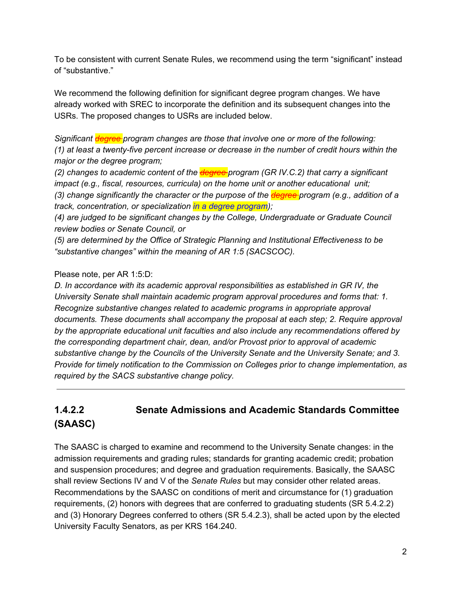To be consistent with current Senate Rules, we recommend using the term "significant" instead of "substantive."

We recommend the following definition for significant degree program changes. We have already worked with SREC to incorporate the definition and its subsequent changes into the USRs. The proposed changes to USRs are included below.

*Significant degree program changes are those that involve one or more of the following: (1) at least a twenty-five percent increase or decrease in the number of credit hours within the major or the degree program;*

*(2) changes to academic content of the degree program (GR IV.C.2) that carry a significant impact (e.g., fiscal, resources, curricula) on the home unit or another educational unit; (3) change significantly the character or the purpose of the degree program (e.g., addition of a track, concentration, or specialization in a degree program);*

*(4) are judged to be significant changes by the College, Undergraduate or Graduate Council review bodies or Senate Council, or*

*(5) are determined by the Office of Strategic Planning and Institutional Effectiveness to be "substantive changes" within the meaning of AR 1:5 (SACSCOC).*

## Please note, per AR 1:5:D:

*D. In accordance with its academic approval responsibilities as established in GR IV, the University Senate shall maintain academic program approval procedures and forms that: 1. Recognize substantive changes related to academic programs in appropriate approval documents. These documents shall accompany the proposal at each step; 2. Require approval by the appropriate educational unit faculties and also include any recommendations offered by the corresponding department chair, dean, and/or Provost prior to approval of academic substantive change by the Councils of the University Senate and the University Senate; and 3. Provide for timely notification to the Commission on Colleges prior to change implementation, as required by the SACS substantive change policy.*

# **1.4.2.2 Senate Admissions and Academic Standards Committee (SAASC)**

The SAASC is charged to examine and recommend to the University Senate changes: in the admission requirements and grading rules; standards for granting academic credit; probation and suspension procedures; and degree and graduation requirements. Basically, the SAASC shall review Sections IV and V of the *Senate Rules* but may consider other related areas. Recommendations by the SAASC on conditions of merit and circumstance for (1) graduation requirements, (2) honors with degrees that are conferred to graduating students (SR 5.4.2.2) and (3) Honorary Degrees conferred to others (SR 5.4.2.3), shall be acted upon by the elected University Faculty Senators, as per KRS 164.240.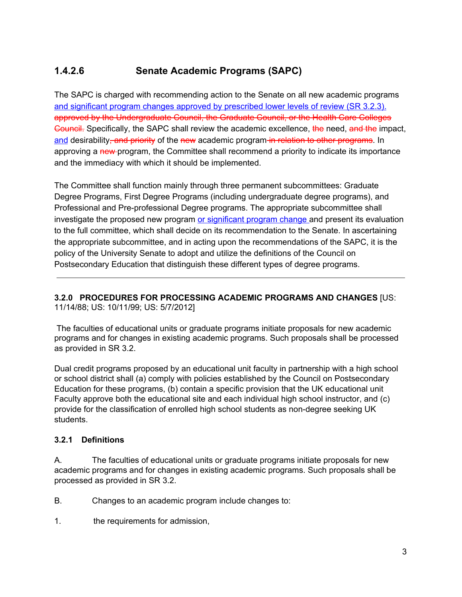## **1.4.2.6 Senate Academic Programs (SAPC)**

The SAPC is charged with recommending action to the Senate on all new academic programs and significant program changes approved by prescribed lower levels of review (SR 3.2.3). approved by the Undergraduate Council, the Graduate Council, or the Health Care Colleges Gouncil. Specifically, the SAPC shall review the academic excellence, the need, and the impact, and desirability<del>, and priority</del> of the new academic program in relation to other programs. In approving a new-program, the Committee shall recommend a priority to indicate its importance and the immediacy with which it should be implemented.

The Committee shall function mainly through three permanent subcommittees: Graduate Degree Programs, First Degree Programs (including undergraduate degree programs), and Professional and Pre-professional Degree programs. The appropriate subcommittee shall investigate the proposed new program or significant program change and present its evaluation to the full committee, which shall decide on its recommendation to the Senate. In ascertaining the appropriate subcommittee, and in acting upon the recommendations of the SAPC, it is the policy of the University Senate to adopt and utilize the definitions of the Council on Postsecondary Education that distinguish these different types of degree programs.

### **3.2.0 PROCEDURES FOR PROCESSING ACADEMIC PROGRAMS AND CHANGES** [US: 11/14/88; US: 10/11/99; US: 5/7/2012]

The faculties of educational units or graduate programs initiate proposals for new academic programs and for changes in existing academic programs. Such proposals shall be processed as provided in SR 3.2.

Dual credit programs proposed by an educational unit faculty in partnership with a high school or school district shall (a) comply with policies established by the Council on Postsecondary Education for these programs, (b) contain a specific provision that the UK educational unit Faculty approve both the educational site and each individual high school instructor, and (c) provide for the classification of enrolled high school students as non-degree seeking UK students.

### **3.2.1 Definitions**

A. The faculties of educational units or graduate programs initiate proposals for new academic programs and for changes in existing academic programs. Such proposals shall be processed as provided in SR 3.2.

B. Changes to an academic program include changes to:

1. the requirements for admission,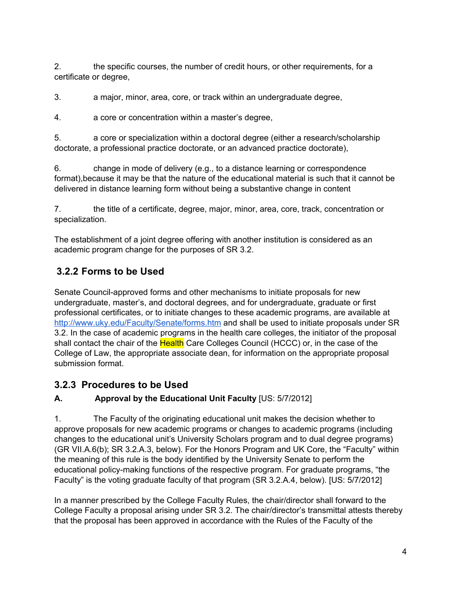2. the specific courses, the number of credit hours, or other requirements, for a certificate or degree,

3. a major, minor, area, core, or track within an undergraduate degree,

4. a core or concentration within a master's degree,

5. a core or specialization within a doctoral degree (either a research/scholarship doctorate, a professional practice doctorate, or an advanced practice doctorate),

6. change in mode of delivery (e.g., to a distance learning or correspondence format),because it may be that the nature of the educational material is such that it cannot be delivered in distance learning form without being a substantive change in content

7. the title of a certificate, degree, major, minor, area, core, track, concentration or specialization.

The establishment of a joint degree offering with another institution is considered as an academic program change for the purposes of SR 3.2.

# **3.2.2 Forms to be Used**

Senate Council-approved forms and other mechanisms to initiate proposals for new undergraduate, master's, and doctoral degrees, and for undergraduate, graduate or first professional certificates, or to initiate changes to these academic programs, are available at <http://www.uky.edu/Faculty/Senate/forms.htm> and shall be used to initiate proposals under SR 3.2. In the case of academic programs in the health care colleges, the initiator of the proposal shall contact the chair of the Health Care Colleges Council (HCCC) or, in the case of the College of Law, the appropriate associate dean, for information on the appropriate proposal submission format.

## **3.2.3 Procedures to be Used**

## **A. Approval by the Educational Unit Faculty** [US: 5/7/2012]

1. The Faculty of the originating educational unit makes the decision whether to approve proposals for new academic programs or changes to academic programs (including changes to the educational unit's University Scholars program and to dual degree programs) (GR VII.A.6(b); SR 3.2.A.3, below). For the Honors Program and UK Core, the "Faculty" within the meaning of this rule is the body identified by the University Senate to perform the educational policy-making functions of the respective program. For graduate programs, "the Faculty" is the voting graduate faculty of that program (SR 3.2.A.4, below). [US: 5/7/2012]

In a manner prescribed by the College Faculty Rules, the chair/director shall forward to the College Faculty a proposal arising under SR 3.2. The chair/director's transmittal attests thereby that the proposal has been approved in accordance with the Rules of the Faculty of the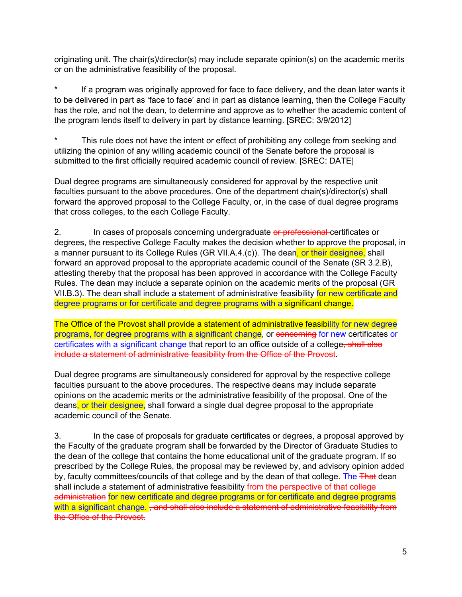originating unit. The chair(s)/director(s) may include separate opinion(s) on the academic merits or on the administrative feasibility of the proposal.

If a program was originally approved for face to face delivery, and the dean later wants it to be delivered in part as 'face to face' and in part as distance learning, then the College Faculty has the role, and not the dean, to determine and approve as to whether the academic content of the program lends itself to delivery in part by distance learning. [SREC: 3/9/2012]

This rule does not have the intent or effect of prohibiting any college from seeking and utilizing the opinion of any willing academic council of the Senate before the proposal is submitted to the first officially required academic council of review. [SREC: DATE]

Dual degree programs are simultaneously considered for approval by the respective unit faculties pursuant to the above procedures. One of the department chair(s)/director(s) shall forward the approved proposal to the College Faculty, or, in the case of dual degree programs that cross colleges, to the each College Faculty.

2. In cases of proposals concerning undergraduate or professional certificates or degrees, the respective College Faculty makes the decision whether to approve the proposal, in a manner pursuant to its College Rules (GR VII.A.4.(c)). The dean, or their designee, shall forward an approved proposal to the appropriate academic council of the Senate (SR 3.2.B), attesting thereby that the proposal has been approved in accordance with the College Faculty Rules. The dean may include a separate opinion on the academic merits of the proposal (GR VII.B.3). The dean shall include a statement of administrative feasibility for new certificate and degree programs or for certificate and degree programs with a significant change.

The Office of the Provost shall provide a statement of administrative feasibility for new degree programs, for degree programs with a significant change, or concerning for new certificates or certificates with a significant change that report to an office outside of a college, shall also include a statement of administrative feasibility from the Office of the Provost.

Dual degree programs are simultaneously considered for approval by the respective college faculties pursuant to the above procedures. The respective deans may include separate opinions on the academic merits or the administrative feasibility of the proposal. One of the deans, or their designee, shall forward a single dual degree proposal to the appropriate academic council of the Senate.

3. In the case of proposals for graduate certificates or degrees, a proposal approved by the Faculty of the graduate program shall be forwarded by the Director of Graduate Studies to the dean of the college that contains the home educational unit of the graduate program. If so prescribed by the College Rules, the proposal may be reviewed by, and advisory opinion added by, faculty committees/councils of that college and by the dean of that college. The That dean shall include a statement of administrative feasibility from the perspective of that college administration for new certificate and degree programs or for certificate and degree programs with a significant change. , and shall also include a statement of administrative feasibility from the Office of the Provost.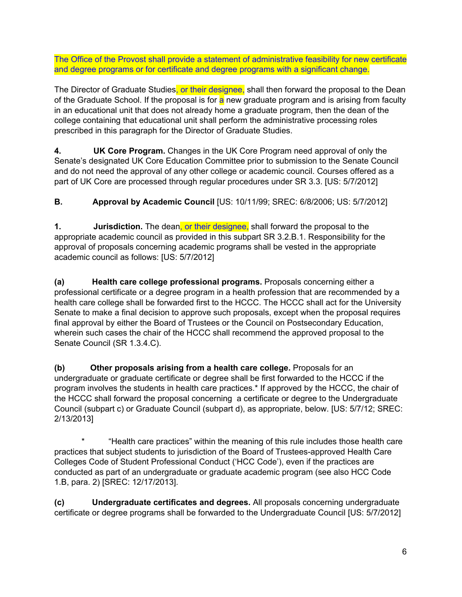The Office of the Provost shall provide a statement of administrative feasibility for new certificate and degree programs or for certificate and degree programs with a significant change.

The Director of Graduate Studies, or their designee, shall then forward the proposal to the Dean of the Graduate School. If the proposal is for a new graduate program and is arising from faculty in an educational unit that does not already home a graduate program, then the dean of the college containing that educational unit shall perform the administrative processing roles prescribed in this paragraph for the Director of Graduate Studies.

**4. UK Core Program.** Changes in the UK Core Program need approval of only the Senate's designated UK Core Education Committee prior to submission to the Senate Council and do not need the approval of any other college or academic council. Courses offered as a part of UK Core are processed through regular procedures under SR 3.3. [US: 5/7/2012]

**B. Approval by Academic Council** [US: 10/11/99; SREC: 6/8/2006; US: 5/7/2012]

**1. Jurisdiction.** The dean, or their designee, shall forward the proposal to the appropriate academic council as provided in this subpart SR 3.2.B.1. Responsibility for the approval of proposals concerning academic programs shall be vested in the appropriate academic council as follows: [US: 5/7/2012]

**(a) Health care college professional programs.** Proposals concerning either a professional certificate or a degree program in a health profession that are recommended by a health care college shall be forwarded first to the HCCC. The HCCC shall act for the University Senate to make a final decision to approve such proposals, except when the proposal requires final approval by either the Board of Trustees or the Council on Postsecondary Education, wherein such cases the chair of the HCCC shall recommend the approved proposal to the Senate Council (SR 1.3.4.C).

**(b) Other proposals arising from a health care college.** Proposals for an undergraduate or graduate certificate or degree shall be first forwarded to the HCCC if the program involves the students in health care practices.\* If approved by the HCCC, the chair of the HCCC shall forward the proposal concerning a certificate or degree to the Undergraduate Council (subpart c) or Graduate Council (subpart d), as appropriate, below. [US: 5/7/12; SREC: 2/13/2013]

\* "Health care practices" within the meaning of this rule includes those health care practices that subject students to jurisdiction of the Board of Trustees-approved Health Care Colleges Code of Student Professional Conduct ('HCC Code'), even if the practices are conducted as part of an undergraduate or graduate academic program (see also HCC Code 1.B, para. 2) [SREC: 12/17/2013].

**(c) Undergraduate certificates and degrees.** All proposals concerning undergraduate certificate or degree programs shall be forwarded to the Undergraduate Council [US: 5/7/2012]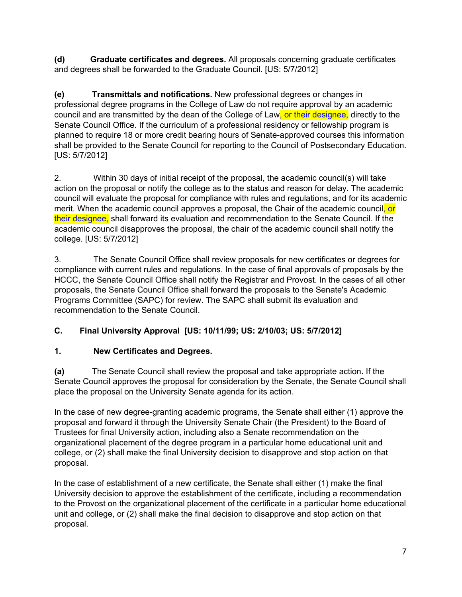**(d) Graduate certificates and degrees.** All proposals concerning graduate certificates and degrees shall be forwarded to the Graduate Council. [US: 5/7/2012]

**(e) Transmittals and notifications.** New professional degrees or changes in professional degree programs in the College of Law do not require approval by an academic council and are transmitted by the dean of the College of Law, or their designee, directly to the Senate Council Office. If the curriculum of a professional residency or fellowship program is planned to require 18 or more credit bearing hours of Senate-approved courses this information shall be provided to the Senate Council for reporting to the Council of Postsecondary Education. [US: 5/7/2012]

2. Within 30 days of initial receipt of the proposal, the academic council(s) will take action on the proposal or notify the college as to the status and reason for delay. The academic council will evaluate the proposal for compliance with rules and regulations, and for its academic merit. When the academic council approves a proposal, the Chair of the academic council, or their designee, shall forward its evaluation and recommendation to the Senate Council. If the academic council disapproves the proposal, the chair of the academic council shall notify the college. [US: 5/7/2012]

3. The Senate Council Office shall review proposals for new certificates or degrees for compliance with current rules and regulations. In the case of final approvals of proposals by the HCCC, the Senate Council Office shall notify the Registrar and Provost. In the cases of all other proposals, the Senate Council Office shall forward the proposals to the Senate's Academic Programs Committee (SAPC) for review. The SAPC shall submit its evaluation and recommendation to the Senate Council.

## **C. Final University Approval [US: 10/11/99; US: 2/10/03; US: 5/7/2012]**

## **1. New Certificates and Degrees.**

**(a)** The Senate Council shall review the proposal and take appropriate action. If the Senate Council approves the proposal for consideration by the Senate, the Senate Council shall place the proposal on the University Senate agenda for its action.

In the case of new degree-granting academic programs, the Senate shall either (1) approve the proposal and forward it through the University Senate Chair (the President) to the Board of Trustees for final University action, including also a Senate recommendation on the organizational placement of the degree program in a particular home educational unit and college, or (2) shall make the final University decision to disapprove and stop action on that proposal.

In the case of establishment of a new certificate, the Senate shall either (1) make the final University decision to approve the establishment of the certificate, including a recommendation to the Provost on the organizational placement of the certificate in a particular home educational unit and college, or (2) shall make the final decision to disapprove and stop action on that proposal.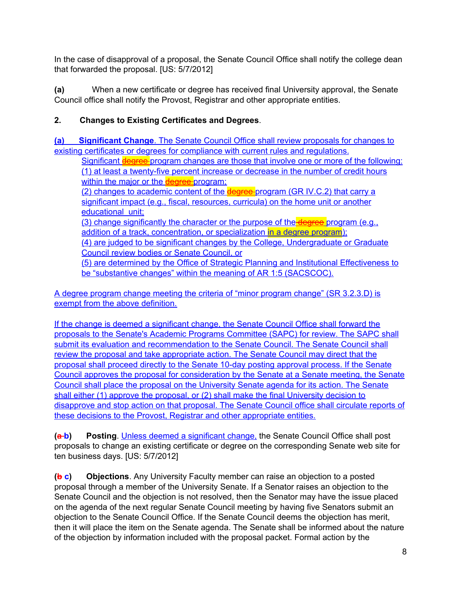In the case of disapproval of a proposal, the Senate Council Office shall notify the college dean that forwarded the proposal. [US: 5/7/2012]

**(a)** When a new certificate or degree has received final University approval, the Senate Council office shall notify the Provost, Registrar and other appropriate entities.

## **2. Changes to Existing Certificates and Degrees**.

**(a) Significant Change**. The Senate Council Office shall review proposals for changes to existing certificates or degrees for compliance with current rules and regulations.

Significant degree-program changes are those that involve one or more of the following: (1) at least a twenty-five percent increase or decrease in the number of credit hours within the major or the degree-program;

(2) changes to academic content of the degree program (GR IV.C.2) that carry a significant impact (e.g., fiscal, resources, curricula) on the home unit or another educational unit;

(3) change significantly the character or the purpose of the  $degree$  program (e.g., addition of a track, concentration, or specialization in a degree program);

(4) are judged to be significant changes by the College, Undergraduate or Graduate Council review bodies or Senate Council, or

(5) are determined by the Office of Strategic Planning and Institutional Effectiveness to be "substantive changes" within the meaning of AR 1:5 (SACSCOC).

A degree program change meeting the criteria of "minor program change" (SR 3.2.3.D) is exempt from the above definition.

If the change is deemed a significant change, the Senate Council Office shall forward the proposals to the Senate's Academic Programs Committee (SAPC) for review. The SAPC shall submit its evaluation and recommendation to the Senate Council. The Senate Council shall review the proposal and take appropriate action. The Senate Council may direct that the proposal shall proceed directly to the Senate 10-day posting approval process. If the Senate Council approves the proposal for consideration by the Senate at a Senate meeting, the Senate Council shall place the proposal on the University Senate agenda for its action. The Senate shall either (1) approve the proposal, or (2) shall make the final University decision to disapprove and stop action on that proposal. The Senate Council office shall circulate reports of these decisions to the Provost, Registrar and other appropriate entities.

**(a b) Posting**. Unless deemed a significant change, the Senate Council Office shall post proposals to change an existing certificate or degree on the corresponding Senate web site for ten business days. [US: 5/7/2012]

**(b c) Objections**. Any University Faculty member can raise an objection to a posted proposal through a member of the University Senate. If a Senator raises an objection to the Senate Council and the objection is not resolved, then the Senator may have the issue placed on the agenda of the next regular Senate Council meeting by having five Senators submit an objection to the Senate Council Office. If the Senate Council deems the objection has merit, then it will place the item on the Senate agenda. The Senate shall be informed about the nature of the objection by information included with the proposal packet. Formal action by the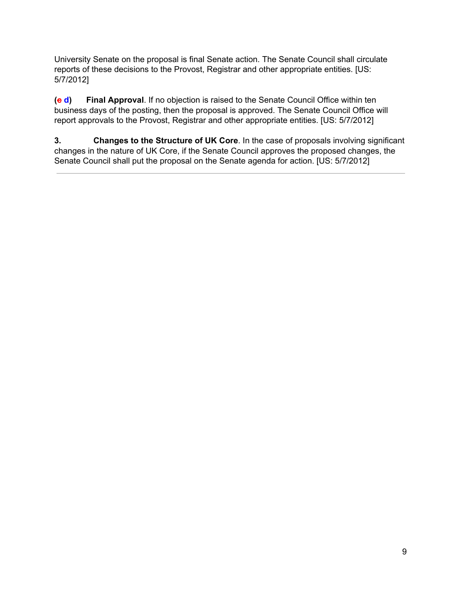University Senate on the proposal is final Senate action. The Senate Council shall circulate reports of these decisions to the Provost, Registrar and other appropriate entities. [US: 5/7/2012]

**(c d) Final Approval**. If no objection is raised to the Senate Council Office within ten business days of the posting, then the proposal is approved. The Senate Council Office will report approvals to the Provost, Registrar and other appropriate entities. [US: 5/7/2012]

**3. Changes to the Structure of UK Core**. In the case of proposals involving significant changes in the nature of UK Core, if the Senate Council approves the proposed changes, the Senate Council shall put the proposal on the Senate agenda for action. [US: 5/7/2012]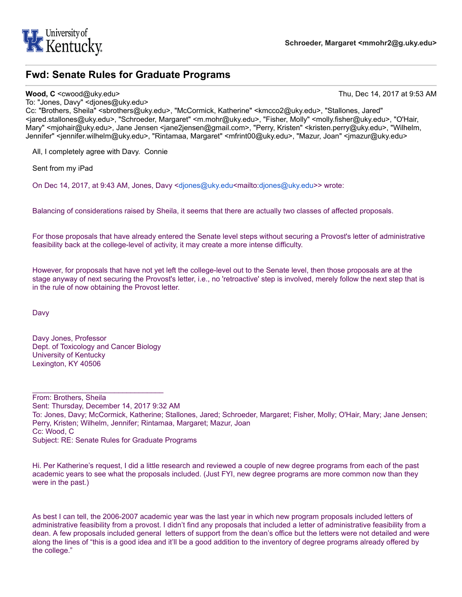

## **Fwd: Senate Rules for Graduate Programs**

#### **Wood, C** <cwood@uky.edu> Thu, Dec 14, 2017 at 9:53 AM

To: "Jones, Davy" <djones@uky.edu>

Cc: "Brothers, Sheila" <sbrothers@uky.edu>, "McCormick, Katherine" <kmcco2@uky.edu>, "Stallones, Jared" <jared.stallones@uky.edu>, "Schroeder, Margaret" <m.mohr@uky.edu>, "Fisher, Molly" <molly.fisher@uky.edu>, "O'Hair, Mary" <mjohair@uky.edu>, Jane Jensen <jane2jensen@gmail.com>, "Perry, Kristen" <kristen.perry@uky.edu>, "Wilhelm, Jennifer" <jennifer.wilhelm@uky.edu>, "Rintamaa, Margaret" <mfrint00@uky.edu>, "Mazur, Joan" <jmazur@uky.edu>

All, I completely agree with Davy. Connie

Sent from my iPad

On Dec 14, 2017, at 9:43 AM, Jones, Davy <djones@uky.edu<mailto:djones@uky.edu>> wrote:

Balancing of considerations raised by Sheila, it seems that there are actually two classes of affected proposals.

For those proposals that have already entered the Senate level steps without securing a Provost's letter of administrative feasibility back at the college-level of activity, it may create a more intense difficulty.

However, for proposals that have not yet left the college-level out to the Senate level, then those proposals are at the stage anyway of next securing the Provost's letter, i.e., no 'retroactive' step is involved, merely follow the next step that is in the rule of now obtaining the Provost letter.

Davy

Davy Jones, Professor Dept. of Toxicology and Cancer Biology University of Kentucky Lexington, KY 40506

\_\_\_\_\_\_\_\_\_\_\_\_\_\_\_\_\_\_\_\_\_\_\_\_\_\_\_\_\_\_\_\_

From: Brothers, Sheila Sent: Thursday, December 14, 2017 9:32 AM To: Jones, Davy; McCormick, Katherine; Stallones, Jared; Schroeder, Margaret; Fisher, Molly; O'Hair, Mary; Jane Jensen; Perry, Kristen; Wilhelm, Jennifer; Rintamaa, Margaret; Mazur, Joan Cc: Wood, C Subject: RE: Senate Rules for Graduate Programs

Hi. Per Katherine's request, I did a little research and reviewed a couple of new degree programs from each of the past academic years to see what the proposals included. (Just FYI, new degree programs are more common now than they were in the past.)

As best I can tell, the 2006-2007 academic year was the last year in which new program proposals included letters of administrative feasibility from a provost. I didn't find any proposals that included a letter of administrative feasibility from a dean. A few proposals included general letters of support from the dean's office but the letters were not detailed and were along the lines of "this is a good idea and it'll be a good addition to the inventory of degree programs already offered by the college."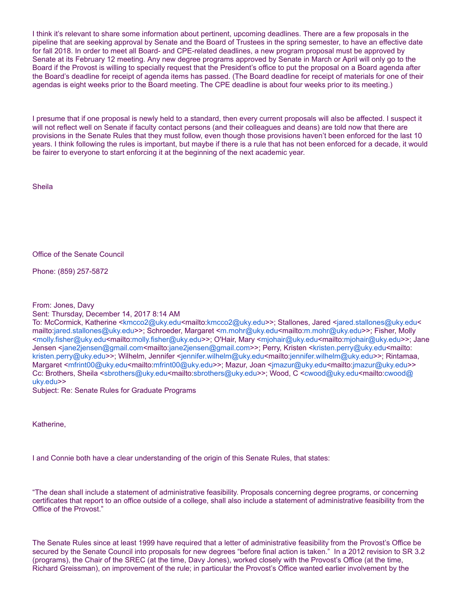I think it's relevant to share some information about pertinent, upcoming deadlines. There are a few proposals in the pipeline that are seeking approval by Senate and the Board of Trustees in the spring semester, to have an effective date for fall 2018. In order to meet all Board- and CPE-related deadlines, a new program proposal must be approved by Senate at its February 12 meeting. Any new degree programs approved by Senate in March or April will only go to the Board if the Provost is willing to specially request that the President's office to put the proposal on a Board agenda after the Board's deadline for receipt of agenda items has passed. (The Board deadline for receipt of materials for one of their agendas is eight weeks prior to the Board meeting. The CPE deadline is about four weeks prior to its meeting.)

I presume that if one proposal is newly held to a standard, then every current proposals will also be affected. I suspect it will not reflect well on Senate if faculty contact persons (and their colleagues and deans) are told now that there are provisions in the Senate Rules that they must follow, even though those provisions haven't been enforced for the last 10 years. I think following the rules is important, but maybe if there is a rule that has not been enforced for a decade, it would be fairer to everyone to start enforcing it at the beginning of the next academic year.

**Sheila** 

Office of the Senate Council

Phone: (859) 257-5872

From: Jones, Davy

Sent: Thursday, December 14, 2017 8:14 AM

To: McCormick, Katherine <kmcco2@uky.edu<mailto:kmcco2@uky.edu>>; Stallones, Jared <jared.stallones@uky.edu< mailto:jared.stallones@uky.edu>>; Schroeder, Margaret <m.mohr@uky.edu<mailto:m.mohr@uky.edu>>; Fisher, Molly <molly.fisher@uky.edu<mailto:molly.fisher@uky.edu>>; O'Hair, Mary <mjohair@uky.edu<mailto:mjohair@uky.edu>>; Jane Jensen <jane2jensen@gmail.com<mailto:jane2jensen@gmail.com>>; Perry, Kristen <kristen.perry@uky.edu<mailto: kristen.perry@uky.edu>>; Wilhelm, Jennifer <jennifer.wilhelm@uky.edu<mailto:jennifer.wilhelm@uky.edu>>; Rintamaa, Margaret <mfrint00@uky.edu<mailto:mfrint00@uky.edu>>; Mazur, Joan <jmazur@uky.edu<mailto:jmazur@uky.edu>> Cc: Brothers, Sheila <sbrothers@uky.edu<mailto:sbrothers@uky.edu>>; Wood, C <cwood@uky.edu<mailto:cwood@ uky.edu>>

Subject: Re: Senate Rules for Graduate Programs

Katherine,

I and Connie both have a clear understanding of the origin of this Senate Rules, that states:

"The dean shall include a statement of administrative feasibility. Proposals concerning degree programs, or concerning certificates that report to an office outside of a college, shall also include a statement of administrative feasibility from the Office of the Provost."

The Senate Rules since at least 1999 have required that a letter of administrative feasibility from the Provost's Office be secured by the Senate Council into proposals for new degrees "before final action is taken." In a 2012 revision to SR 3.2 (programs), the Chair of the SREC (at the time, Davy Jones), worked closely with the Provost's Office (at the time, Richard Greissman), on improvement of the rule; in particular the Provost's Office wanted earlier involvement by the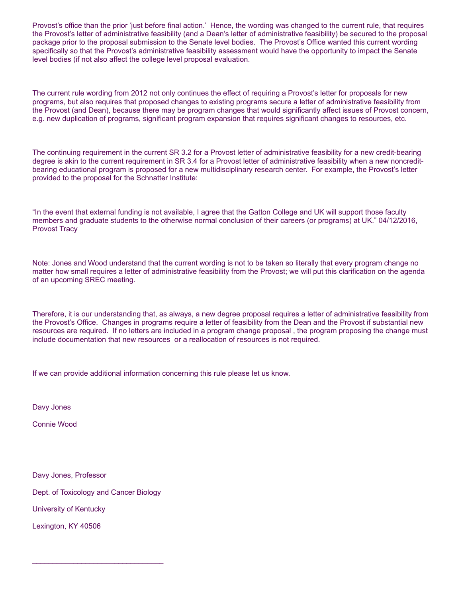Provost's office than the prior 'just before final action.' Hence, the wording was changed to the current rule, that requires the Provost's letter of administrative feasibility (and a Dean's letter of administrative feasibility) be secured to the proposal package prior to the proposal submission to the Senate level bodies. The Provost's Office wanted this current wording specifically so that the Provost's administrative feasibility assessment would have the opportunity to impact the Senate level bodies (if not also affect the college level proposal evaluation.

The current rule wording from 2012 not only continues the effect of requiring a Provost's letter for proposals for new programs, but also requires that proposed changes to existing programs secure a letter of administrative feasibility from the Provost (and Dean), because there may be program changes that would significantly affect issues of Provost concern, e.g. new duplication of programs, significant program expansion that requires significant changes to resources, etc.

The continuing requirement in the current SR 3.2 for a Provost letter of administrative feasibility for a new credit-bearing degree is akin to the current requirement in SR 3.4 for a Provost letter of administrative feasibility when a new noncreditbearing educational program is proposed for a new multidisciplinary research center. For example, the Provost's letter provided to the proposal for the Schnatter Institute:

"In the event that external funding is not available, I agree that the Gatton College and UK will support those faculty members and graduate students to the otherwise normal conclusion of their careers (or programs) at UK." 04/12/2016, Provost Tracy

Note: Jones and Wood understand that the current wording is not to be taken so literally that every program change no matter how small requires a letter of administrative feasibility from the Provost; we will put this clarification on the agenda of an upcoming SREC meeting.

Therefore, it is our understanding that, as always, a new degree proposal requires a letter of administrative feasibility from the Provost's Office. Changes in programs require a letter of feasibility from the Dean and the Provost if substantial new resources are required. If no letters are included in a program change proposal , the program proposing the change must include documentation that new resources or a reallocation of resources is not required.

If we can provide additional information concerning this rule please let us know.

Davy Jones

Connie Wood

Davy Jones, Professor Dept. of Toxicology and Cancer Biology University of Kentucky Lexington, KY 40506

\_\_\_\_\_\_\_\_\_\_\_\_\_\_\_\_\_\_\_\_\_\_\_\_\_\_\_\_\_\_\_\_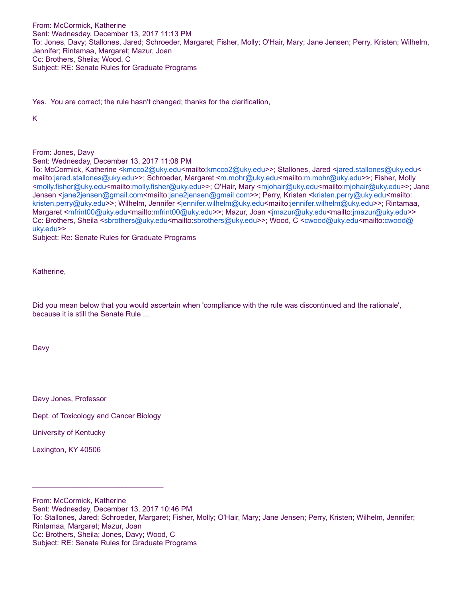From: McCormick, Katherine Sent: Wednesday, December 13, 2017 11:13 PM To: Jones, Davy; Stallones, Jared; Schroeder, Margaret; Fisher, Molly; O'Hair, Mary; Jane Jensen; Perry, Kristen; Wilhelm, Jennifer; Rintamaa, Margaret; Mazur, Joan Cc: Brothers, Sheila; Wood, C Subject: RE: Senate Rules for Graduate Programs

Yes. You are correct; the rule hasn't changed; thanks for the clarification,

K

From: Jones, Davy

Sent: Wednesday, December 13, 2017 11:08 PM

To: McCormick, Katherine <kmcco2@uky.edu<mailto:kmcco2@uky.edu>>; Stallones, Jared <jared.stallones@uky.edu< mailto:jared.stallones@uky.edu>>; Schroeder, Margaret <m.mohr@uky.edu<mailto:m.mohr@uky.edu>>; Fisher, Molly <molly.fisher@uky.edu<mailto:molly.fisher@uky.edu>>; O'Hair, Mary <mjohair@uky.edu<mailto:mjohair@uky.edu>>; Jane Jensen <jane2jensen@gmail.com<mailto:jane2jensen@gmail.com>>; Perry, Kristen <kristen.perry@uky.edu<mailto: kristen.perry@uky.edu>>; Wilhelm, Jennifer <jennifer.wilhelm@uky.edu<mailto:jennifer.wilhelm@uky.edu>>; Rintamaa, Margaret <mfrint00@uky.edu<mailto:mfrint00@uky.edu>>; Mazur, Joan <imazur@uky.edu<mailto:jmazur@uky.edu>> Cc: Brothers, Sheila <sbrothers@uky.edu<mailto:sbrothers@uky.edu>>; Wood, C <cwood@uky.edu<mailto:cwood@ uky.edu>>

Subject: Re: Senate Rules for Graduate Programs

Katherine,

Did you mean below that you would ascertain when 'compliance with the rule was discontinued and the rationale', because it is still the Senate Rule ...

Davy

Davy Jones, Professor

Dept. of Toxicology and Cancer Biology

\_\_\_\_\_\_\_\_\_\_\_\_\_\_\_\_\_\_\_\_\_\_\_\_\_\_\_\_\_\_\_\_

University of Kentucky

Lexington, KY 40506

From: McCormick, Katherine Sent: Wednesday, December 13, 2017 10:46 PM To: Stallones, Jared; Schroeder, Margaret; Fisher, Molly; O'Hair, Mary; Jane Jensen; Perry, Kristen; Wilhelm, Jennifer; Rintamaa, Margaret; Mazur, Joan Cc: Brothers, Sheila; Jones, Davy; Wood, C

Subject: RE: Senate Rules for Graduate Programs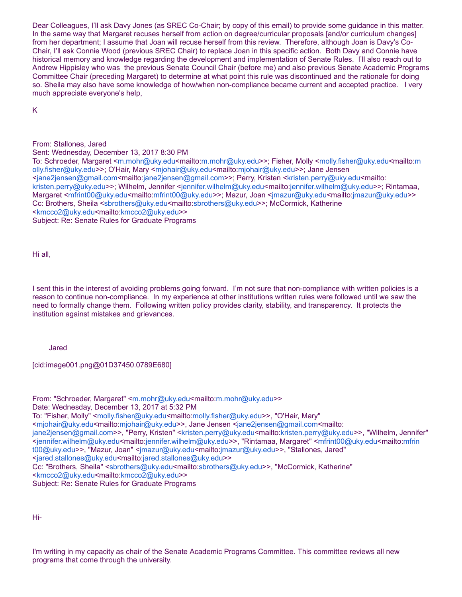Dear Colleagues, I'll ask Davy Jones (as SREC Co-Chair; by copy of this email) to provide some guidance in this matter. In the same way that Margaret recuses herself from action on degree/curricular proposals [and/or curriculum changes] from her department; I assume that Joan will recuse herself from this review. Therefore, although Joan is Davy's Co-Chair, I'll ask Connie Wood (previous SREC Chair) to replace Joan in this specific action. Both Davy and Connie have historical memory and knowledge regarding the development and implementation of Senate Rules. I'll also reach out to Andrew Hippisley who was the previous Senate Council Chair (before me) and also previous Senate Academic Programs Committee Chair (preceding Margaret) to determine at what point this rule was discontinued and the rationale for doing so. Sheila may also have some knowledge of how/when non-compliance became current and accepted practice. I very much appreciate everyone's help,

K

#### From: Stallones, Jared

Sent: Wednesday, December 13, 2017 8:30 PM To: Schroeder, Margaret <m.mohr@uky.edu<mailto:m.mohr@uky.edu>>; Fisher, Molly <molly.fisher@uky.edu<mailto:m olly.fisher@uky.edu>>; O'Hair, Mary <mjohair@uky.edu<mailto:mjohair@uky.edu>>; Jane Jensen <jane2jensen@gmail.com<mailto:jane2jensen@gmail.com>>; Perry, Kristen <kristen.perry@uky.edu<mailto: kristen.perry@uky.edu>>; Wilhelm, Jennifer <jennifer.wilhelm@uky.edu<mailto:jennifer.wilhelm@uky.edu>>; Rintamaa, Margaret <mfrint00@uky.edu<mailto:mfrint00@uky.edu>>; Mazur, Joan <jmazur@uky.edu<mailto:jmazur@uky.edu>> Cc: Brothers, Sheila <sbrothers@uky.edu<mailto:sbrothers@uky.edu>>; McCormick, Katherine <kmcco2@uky.edu<mailto:kmcco2@uky.edu>> Subject: Re: Senate Rules for Graduate Programs

Hi all,

I sent this in the interest of avoiding problems going forward. I'm not sure that non-compliance with written policies is a reason to continue noncompliance. In my experience at other institutions written rules were followed until we saw the need to formally change them. Following written policy provides clarity, stability, and transparency. It protects the institution against mistakes and grievances.

Jared

[cid:image001.png@01D37450.0789E680]

From: "Schroeder, Margaret" <m.mohr@uky.edu<mailto:m.mohr@uky.edu>> Date: Wednesday, December 13, 2017 at 5:32 PM To: "Fisher, Molly" <molly.fisher@uky.edu<mailto:molly.fisher@uky.edu>>, "O'Hair, Mary" <mjohair@uky.edu<mailto:mjohair@uky.edu>>, Jane Jensen <jane2jensen@gmail.com<mailto: jane2jensen@gmail.com>>, "Perry, Kristen" <kristen.perry@uky.edu<mailto:kristen.perry@uky.edu>>, "Wilhelm, Jennifer" <jennifer.wilhelm@uky.edu<mailto:jennifer.wilhelm@uky.edu>>, "Rintamaa, Margaret" <mfrint00@uky.edu<mailto:mfrin t00@uky.edu>>, "Mazur, Joan" <jmazur@uky.edu<mailto:jmazur@uky.edu>>, "Stallones, Jared" <jared.stallones@uky.edu<mailto:jared.stallones@uky.edu>> Cc: "Brothers, Sheila" <sbrothers@uky.edu<mailto:sbrothers@uky.edu>>, "McCormick, Katherine" <kmcco2@uky.edu<mailto:kmcco2@uky.edu>> Subject: Re: Senate Rules for Graduate Programs

Hi-

I'm writing in my capacity as chair of the Senate Academic Programs Committee. This committee reviews all new programs that come through the university.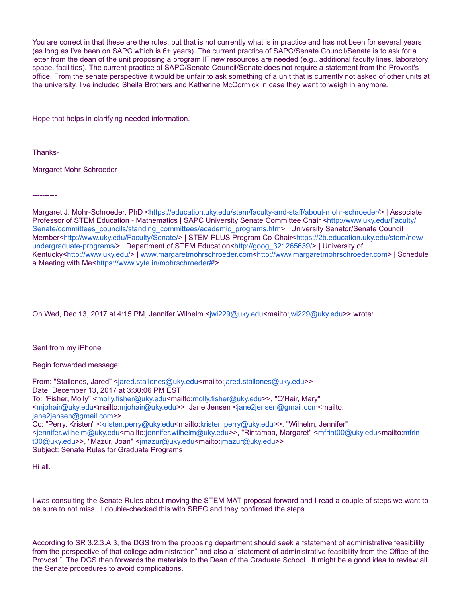You are correct in that these are the rules, but that is not currently what is in practice and has not been for several years (as long as I've been on SAPC which is 6+ years). The current practice of SAPC/Senate Council/Senate is to ask for a letter from the dean of the unit proposing a program IF new resources are needed (e.g., additional faculty lines, laboratory space, facilities). The current practice of SAPC/Senate Council/Senate does not require a statement from the Provost's office. From the senate perspective it would be unfair to ask something of a unit that is currently not asked of other units at the university. I've included Sheila Brothers and Katherine McCormick in case they want to weigh in anymore.

Hope that helps in clarifying needed information.

Thanks-

Margaret Mohr-Schroeder

----------

Margaret J. Mohr-Schroeder, PhD <https://education.uky.edu/stem/faculty-and-staff/about-mohr-schroeder/> | Associate Professor of STEM Education - Mathematics | SAPC University Senate Committee Chair <http://www.uky.edu/Faculty/ Senate/committees\_councils/standing\_committees/academic\_programs.htm> | University Senator/Senate Council Member<http://www.uky.edu/Faculty/Senate/> | STEM PLUS Program CoChair<https://2b.education.uky.edu/stem/new/ undergraduate-programs/> | Department of STEM Education<http://goog\_321265639/> | University of Kentucky<http://www.uky.edu/> | www.margaretmohrschroeder.com<http://www.margaretmohrschroeder.com> | Schedule a Meeting with Me<https://www.vyte.in/mohrschroeder#!>

On Wed, Dec 13, 2017 at 4:15 PM, Jennifer Wilhelm <jwi229@uky.edu<mailto:jwi229@uky.edu>> wrote:

Sent from my iPhone

Begin forwarded message:

From: "Stallones, Jared" <jared.stallones@uky.edu<mailto:jared.stallones@uky.edu>> Date: December 13, 2017 at 3:30:06 PM EST To: "Fisher, Molly" <molly.fisher@uky.edu<mailto:molly.fisher@uky.edu>>, "O'Hair, Mary" <mjohair@uky.edu<mailto:mjohair@uky.edu>>, Jane Jensen <jane2jensen@gmail.com<mailto: jane2jensen@gmail.com>> Cc: "Perry, Kristen" <kristen.perry@uky.edu<mailto:kristen.perry@uky.edu>>, "Wilhelm, Jennifer" <jennifer.wilhelm@uky.edu<mailto:jennifer.wilhelm@uky.edu>>, "Rintamaa, Margaret" <mfrint00@uky.edu<mailto:mfrin t00@uky.edu>>, "Mazur, Joan" <jmazur@uky.edu<mailto:jmazur@uky.edu>> Subject: Senate Rules for Graduate Programs

```
Hi all,
```
I was consulting the Senate Rules about moving the STEM MAT proposal forward and I read a couple of steps we want to be sure to not miss. I double-checked this with SREC and they confirmed the steps.

According to SR 3.2.3.A.3, the DGS from the proposing department should seek a "statement of administrative feasibility from the perspective of that college administration" and also a "statement of administrative feasibility from the Office of the Provost." The DGS then forwards the materials to the Dean of the Graduate School. It might be a good idea to review all the Senate procedures to avoid complications.